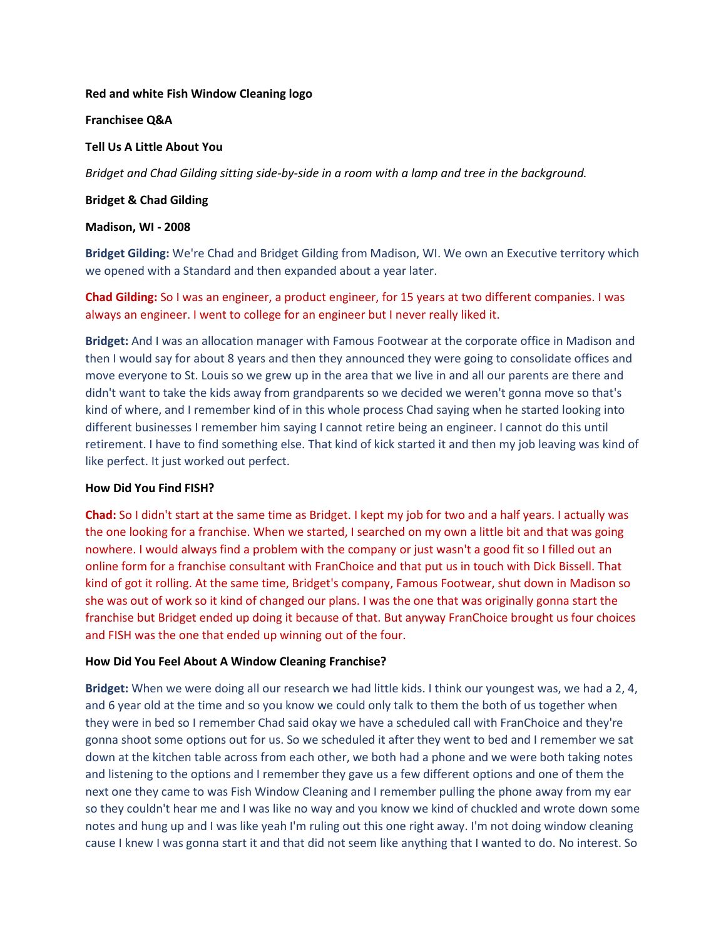### **Red and white Fish Window Cleaning logo**

**Franchisee Q&A**

### **Tell Us A Little About You**

*Bridget and Chad Gilding sitting side-by-side in a room with a lamp and tree in the background.*

### **Bridget & Chad Gilding**

### **Madison, WI - 2008**

**Bridget Gilding:** We're Chad and Bridget Gilding from Madison, WI. We own an Executive territory which we opened with a Standard and then expanded about a year later.

**Chad Gilding:** So I was an engineer, a product engineer, for 15 years at two different companies. I was always an engineer. I went to college for an engineer but I never really liked it.

**Bridget:** And I was an allocation manager with Famous Footwear at the corporate office in Madison and then I would say for about 8 years and then they announced they were going to consolidate offices and move everyone to St. Louis so we grew up in the area that we live in and all our parents are there and didn't want to take the kids away from grandparents so we decided we weren't gonna move so that's kind of where, and I remember kind of in this whole process Chad saying when he started looking into different businesses I remember him saying I cannot retire being an engineer. I cannot do this until retirement. I have to find something else. That kind of kick started it and then my job leaving was kind of like perfect. It just worked out perfect.

# **How Did You Find FISH?**

**Chad:** So I didn't start at the same time as Bridget. I kept my job for two and a half years. I actually was the one looking for a franchise. When we started, I searched on my own a little bit and that was going nowhere. I would always find a problem with the company or just wasn't a good fit so I filled out an online form for a franchise consultant with FranChoice and that put us in touch with Dick Bissell. That kind of got it rolling. At the same time, Bridget's company, Famous Footwear, shut down in Madison so she was out of work so it kind of changed our plans. I was the one that was originally gonna start the franchise but Bridget ended up doing it because of that. But anyway FranChoice brought us four choices and FISH was the one that ended up winning out of the four.

# **How Did You Feel About A Window Cleaning Franchise?**

**Bridget:** When we were doing all our research we had little kids. I think our youngest was, we had a 2, 4, and 6 year old at the time and so you know we could only talk to them the both of us together when they were in bed so I remember Chad said okay we have a scheduled call with FranChoice and they're gonna shoot some options out for us. So we scheduled it after they went to bed and I remember we sat down at the kitchen table across from each other, we both had a phone and we were both taking notes and listening to the options and I remember they gave us a few different options and one of them the next one they came to was Fish Window Cleaning and I remember pulling the phone away from my ear so they couldn't hear me and I was like no way and you know we kind of chuckled and wrote down some notes and hung up and I was like yeah I'm ruling out this one right away. I'm not doing window cleaning cause I knew I was gonna start it and that did not seem like anything that I wanted to do. No interest. So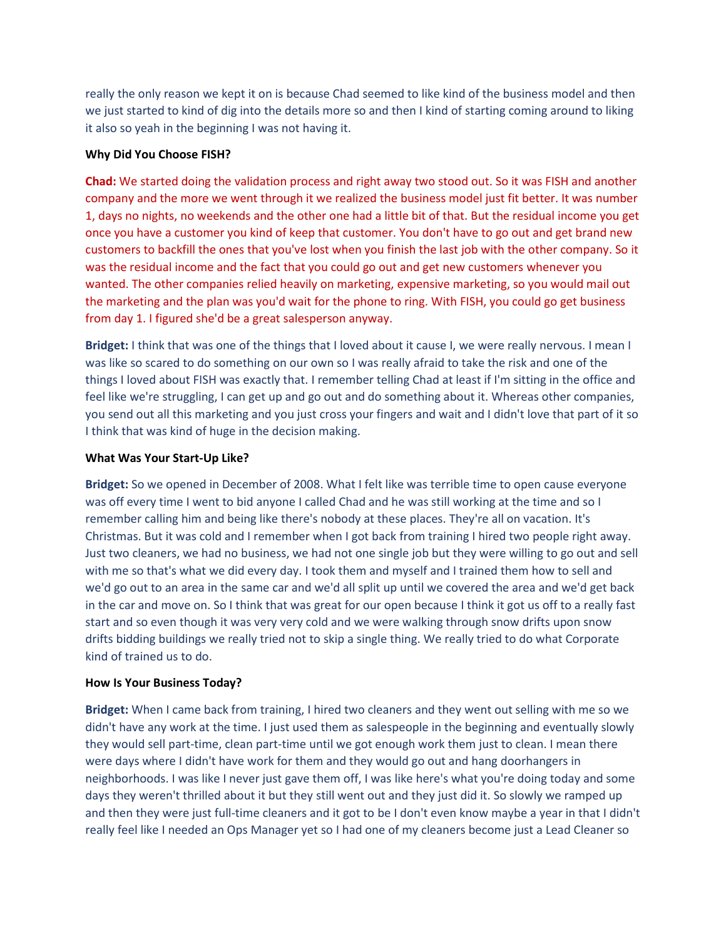really the only reason we kept it on is because Chad seemed to like kind of the business model and then we just started to kind of dig into the details more so and then I kind of starting coming around to liking it also so yeah in the beginning I was not having it.

# **Why Did You Choose FISH?**

**Chad:** We started doing the validation process and right away two stood out. So it was FISH and another company and the more we went through it we realized the business model just fit better. It was number 1, days no nights, no weekends and the other one had a little bit of that. But the residual income you get once you have a customer you kind of keep that customer. You don't have to go out and get brand new customers to backfill the ones that you've lost when you finish the last job with the other company. So it was the residual income and the fact that you could go out and get new customers whenever you wanted. The other companies relied heavily on marketing, expensive marketing, so you would mail out the marketing and the plan was you'd wait for the phone to ring. With FISH, you could go get business from day 1. I figured she'd be a great salesperson anyway.

**Bridget:** I think that was one of the things that I loved about it cause I, we were really nervous. I mean I was like so scared to do something on our own so I was really afraid to take the risk and one of the things I loved about FISH was exactly that. I remember telling Chad at least if I'm sitting in the office and feel like we're struggling, I can get up and go out and do something about it. Whereas other companies, you send out all this marketing and you just cross your fingers and wait and I didn't love that part of it so I think that was kind of huge in the decision making.

### **What Was Your Start-Up Like?**

**Bridget:** So we opened in December of 2008. What I felt like was terrible time to open cause everyone was off every time I went to bid anyone I called Chad and he was still working at the time and so I remember calling him and being like there's nobody at these places. They're all on vacation. It's Christmas. But it was cold and I remember when I got back from training I hired two people right away. Just two cleaners, we had no business, we had not one single job but they were willing to go out and sell with me so that's what we did every day. I took them and myself and I trained them how to sell and we'd go out to an area in the same car and we'd all split up until we covered the area and we'd get back in the car and move on. So I think that was great for our open because I think it got us off to a really fast start and so even though it was very very cold and we were walking through snow drifts upon snow drifts bidding buildings we really tried not to skip a single thing. We really tried to do what Corporate kind of trained us to do.

#### **How Is Your Business Today?**

**Bridget:** When I came back from training, I hired two cleaners and they went out selling with me so we didn't have any work at the time. I just used them as salespeople in the beginning and eventually slowly they would sell part-time, clean part-time until we got enough work them just to clean. I mean there were days where I didn't have work for them and they would go out and hang doorhangers in neighborhoods. I was like I never just gave them off, I was like here's what you're doing today and some days they weren't thrilled about it but they still went out and they just did it. So slowly we ramped up and then they were just full-time cleaners and it got to be I don't even know maybe a year in that I didn't really feel like I needed an Ops Manager yet so I had one of my cleaners become just a Lead Cleaner so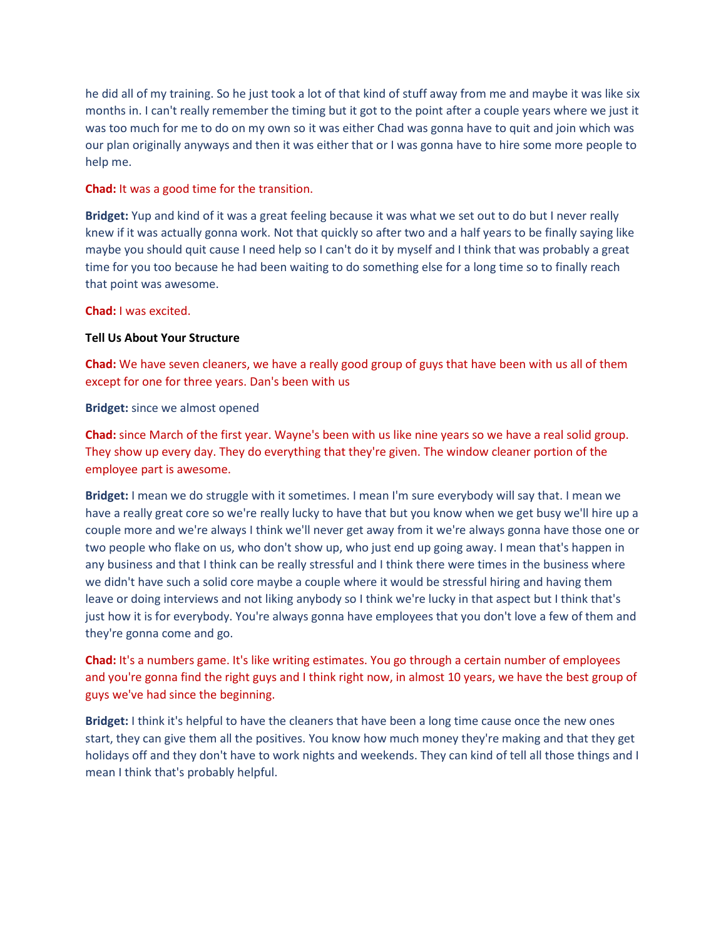he did all of my training. So he just took a lot of that kind of stuff away from me and maybe it was like six months in. I can't really remember the timing but it got to the point after a couple years where we just it was too much for me to do on my own so it was either Chad was gonna have to quit and join which was our plan originally anyways and then it was either that or I was gonna have to hire some more people to help me.

# **Chad:** It was a good time for the transition.

**Bridget:** Yup and kind of it was a great feeling because it was what we set out to do but I never really knew if it was actually gonna work. Not that quickly so after two and a half years to be finally saying like maybe you should quit cause I need help so I can't do it by myself and I think that was probably a great time for you too because he had been waiting to do something else for a long time so to finally reach that point was awesome.

### **Chad:** I was excited.

### **Tell Us About Your Structure**

**Chad:** We have seven cleaners, we have a really good group of guys that have been with us all of them except for one for three years. Dan's been with us

### **Bridget:** since we almost opened

**Chad:** since March of the first year. Wayne's been with us like nine years so we have a real solid group. They show up every day. They do everything that they're given. The window cleaner portion of the employee part is awesome.

**Bridget:** I mean we do struggle with it sometimes. I mean I'm sure everybody will say that. I mean we have a really great core so we're really lucky to have that but you know when we get busy we'll hire up a couple more and we're always I think we'll never get away from it we're always gonna have those one or two people who flake on us, who don't show up, who just end up going away. I mean that's happen in any business and that I think can be really stressful and I think there were times in the business where we didn't have such a solid core maybe a couple where it would be stressful hiring and having them leave or doing interviews and not liking anybody so I think we're lucky in that aspect but I think that's just how it is for everybody. You're always gonna have employees that you don't love a few of them and they're gonna come and go.

**Chad:** It's a numbers game. It's like writing estimates. You go through a certain number of employees and you're gonna find the right guys and I think right now, in almost 10 years, we have the best group of guys we've had since the beginning.

**Bridget:** I think it's helpful to have the cleaners that have been a long time cause once the new ones start, they can give them all the positives. You know how much money they're making and that they get holidays off and they don't have to work nights and weekends. They can kind of tell all those things and I mean I think that's probably helpful.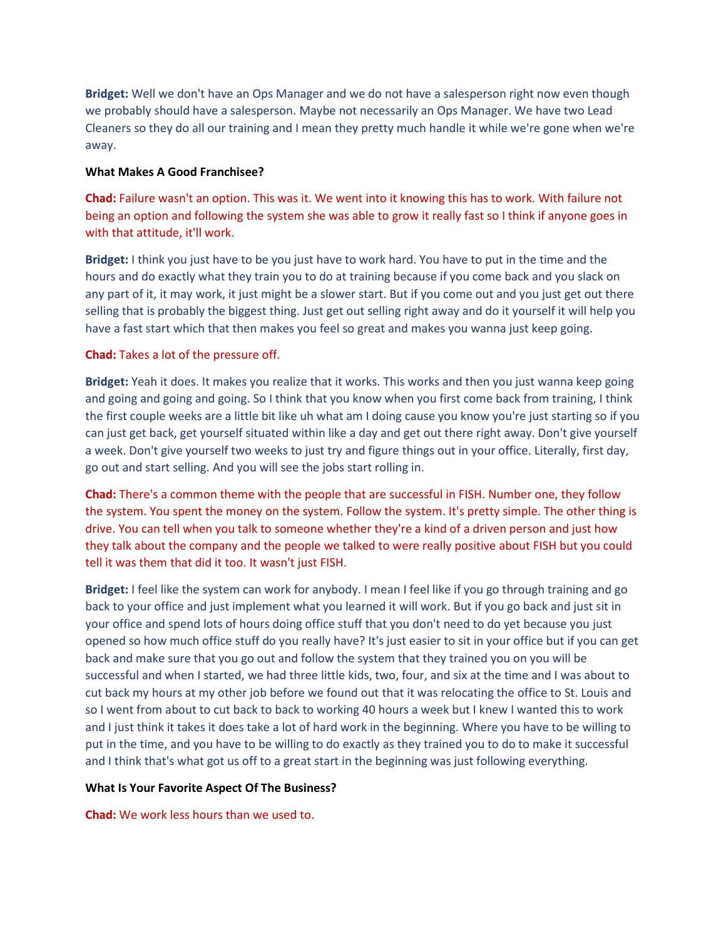**Bridget:** Well we don't have an Ops Manager and we do not have a salesperson right now even though we probably should have a salesperson. Maybe not necessarily an Ops Manager. We have two Lead Cleaners so they do all our training and I mean they pretty much handle it while we're gone when we're away.

#### **What Makes A Good Franchisee?**

**Chad:** Failure wasn't an option. This was it. We went into it knowing this has to work. With failure not being an option and following the system she was able to grow it really fast so I think if anyone goes in with that attitude, it'll work.

**Bridget:** I think you just have to be you just have to work hard. You have to put in the time and the hours and do exactly what they train you to do at training because if you come back and you slack on any part of it, it may work, it just might be a slower start. But if you come out and you just get out there selling that is probably the biggest thing. Just get out selling right away and do it yourself it will help you have a fast start which that then makes you feel so great and makes you wanna just keep going.

# **Chad:** Takes a lot of the pressure off.

**Bridget:** Yeah it does. It makes you realize that it works. This works and then you just wanna keep going and going and going and going. So I think that you know when you first come back from training, I think the first couple weeks are a little bit like uh what am I doing cause you know you're just starting so if you can just get back, get yourself situated within like a day and get out there right away. Don't give yourself a week. Don't give yourself two weeks to just try and figure things out in your office. Literally, first day, go out and start selling. And you will see the jobs start rolling in.

**Chad:** There's a common theme with the people that are successful in FISH. Number one, they follow the system. You spent the money on the system. Follow the system. It's pretty simple. The other thing is drive. You can tell when you talk to someone whether they're a kind of a driven person and just how they talk about the company and the people we talked to were really positive about FISH but you could tell it was them that did it too. It wasn't just FISH.

**Bridget:** I feel like the system can work for anybody. I mean I feel like if you go through training and go back to your office and just implement what you learned it will work. But if you go back and just sit in your office and spend lots of hours doing office stuff that you don't need to do yet because you just opened so how much office stuff do you really have? It's just easier to sit in your office but if you can get back and make sure that you go out and follow the system that they trained you on you will be successful and when I started, we had three little kids, two, four, and six at the time and I was about to cut back my hours at my other job before we found out that it was relocating the office to St. Louis and so I went from about to cut back to back to working 40 hours a week but I knew I wanted this to work and I just think it takes it does take a lot of hard work in the beginning. Where you have to be willing to put in the time, and you have to be willing to do exactly as they trained you to do to make it successful and I think that's what got us off to a great start in the beginning was just following everything.

# **What Is Your Favorite Aspect Of The Business?**

**Chad:** We work less hours than we used to.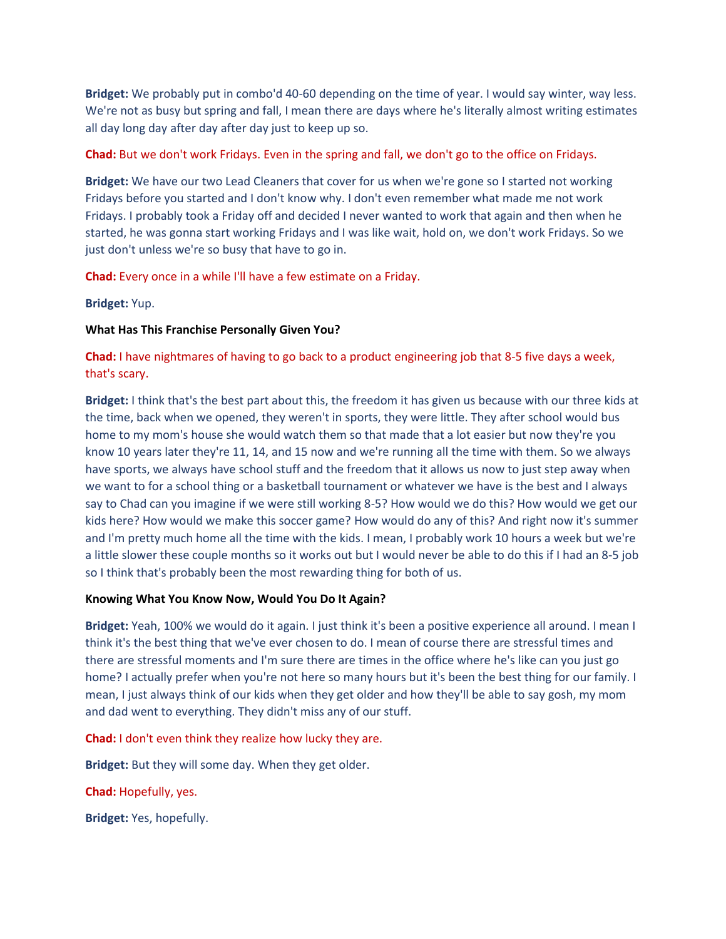**Bridget:** We probably put in combo'd 40-60 depending on the time of year. I would say winter, way less. We're not as busy but spring and fall, I mean there are days where he's literally almost writing estimates all day long day after day after day just to keep up so.

### **Chad:** But we don't work Fridays. Even in the spring and fall, we don't go to the office on Fridays.

**Bridget:** We have our two Lead Cleaners that cover for us when we're gone so I started not working Fridays before you started and I don't know why. I don't even remember what made me not work Fridays. I probably took a Friday off and decided I never wanted to work that again and then when he started, he was gonna start working Fridays and I was like wait, hold on, we don't work Fridays. So we just don't unless we're so busy that have to go in.

**Chad:** Every once in a while I'll have a few estimate on a Friday.

**Bridget:** Yup.

### **What Has This Franchise Personally Given You?**

**Chad:** I have nightmares of having to go back to a product engineering job that 8-5 five days a week, that's scary.

**Bridget:** I think that's the best part about this, the freedom it has given us because with our three kids at the time, back when we opened, they weren't in sports, they were little. They after school would bus home to my mom's house she would watch them so that made that a lot easier but now they're you know 10 years later they're 11, 14, and 15 now and we're running all the time with them. So we always have sports, we always have school stuff and the freedom that it allows us now to just step away when we want to for a school thing or a basketball tournament or whatever we have is the best and I always say to Chad can you imagine if we were still working 8-5? How would we do this? How would we get our kids here? How would we make this soccer game? How would do any of this? And right now it's summer and I'm pretty much home all the time with the kids. I mean, I probably work 10 hours a week but we're a little slower these couple months so it works out but I would never be able to do this if I had an 8-5 job so I think that's probably been the most rewarding thing for both of us.

#### **Knowing What You Know Now, Would You Do It Again?**

**Bridget:** Yeah, 100% we would do it again. I just think it's been a positive experience all around. I mean I think it's the best thing that we've ever chosen to do. I mean of course there are stressful times and there are stressful moments and I'm sure there are times in the office where he's like can you just go home? I actually prefer when you're not here so many hours but it's been the best thing for our family. I mean, I just always think of our kids when they get older and how they'll be able to say gosh, my mom and dad went to everything. They didn't miss any of our stuff.

**Chad:** I don't even think they realize how lucky they are.

**Bridget:** But they will some day. When they get older.

**Chad:** Hopefully, yes.

**Bridget:** Yes, hopefully.